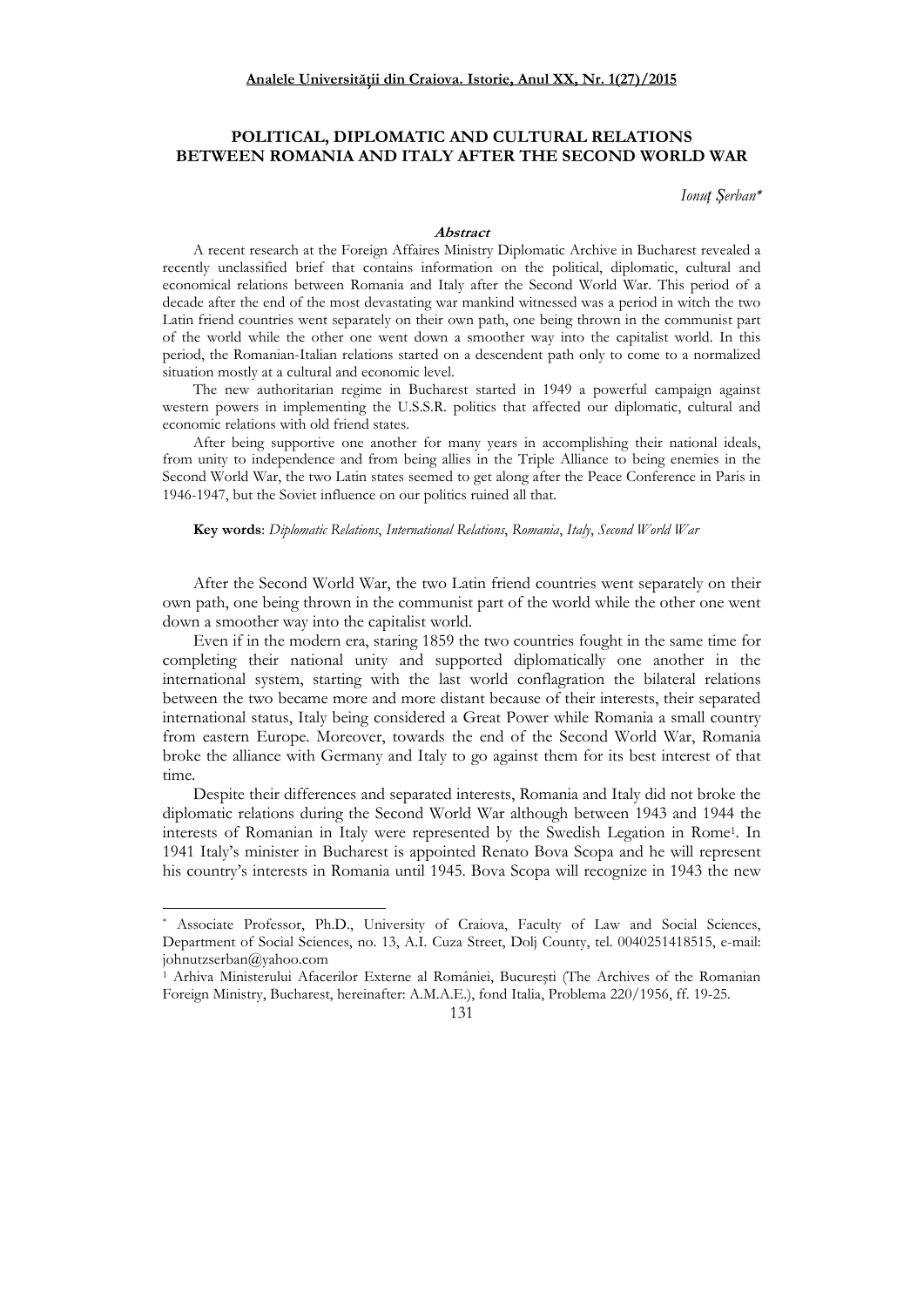# **POLITICAL, DIPLOMATIC AND CULTURAL RELATIONS BETWEEN ROMANIA AND ITALY AFTER THE SECOND WORLD WAR**

*Ionuț Șerban***\***

### **Abstract**

A recent research at the Foreign Affaires Ministry Diplomatic Archive in Bucharest revealed a recently unclassified brief that contains information on the political, diplomatic, cultural and economical relations between Romania and Italy after the Second World War. This period of a decade after the end of the most devastating war mankind witnessed was a period in witch the two Latin friend countries went separately on their own path, one being thrown in the communist part of the world while the other one went down a smoother way into the capitalist world. In this period, the Romanian-Italian relations started on a descendent path only to come to a normalized situation mostly at a cultural and economic level.

The new authoritarian regime in Bucharest started in 1949 a powerful campaign against western powers in implementing the U.S.S.R. politics that affected our diplomatic, cultural and economic relations with old friend states.

After being supportive one another for many years in accomplishing their national ideals, from unity to independence and from being allies in the Triple Alliance to being enemies in the Second World War, the two Latin states seemed to get along after the Peace Conference in Paris in 1946-1947, but the Soviet influence on our politics ruined all that.

#### **Key words**: *Diplomatic Relations*, *International Relations*, *Romania*, *Italy*, *Second World War*

After the Second World War, the two Latin friend countries went separately on their own path, one being thrown in the communist part of the world while the other one went down a smoother way into the capitalist world.

Even if in the modern era, staring 1859 the two countries fought in the same time for completing their national unity and supported diplomatically one another in the international system, starting with the last world conflagration the bilateral relations between the two became more and more distant because of their interests, their separated international status, Italy being considered a Great Power while Romania a small country from eastern Europe. Moreover, towards the end of the Second World War, Romania broke the alliance with Germany and Italy to go against them for its best interest of that time.

Despite their differences and separated interests, Romania and Italy did not broke the diplomatic relations during the Second World War although between 1943 and 1944 the interests of Romanian in Italy were represented by the Swedish Legation in Rome<sup>1</sup> . In 1941 Italy's minister in Bucharest is appointed Renato Bova Scopa and he will represent his country's interests in Romania until 1945. Bova Scopa will recognize in 1943 the new

 $\overline{a}$ 

<sup>1</sup> Arhiva Ministerului Afacerilor Externe al României, Bucureşti (The Archives of the Romanian Foreign Ministry, Bucharest, hereinafter: A.M.A.E.), fond Italia, Problema 220/1956, ff. 19-25.



<sup>\*</sup> Associate Professor, Ph.D., University of Craiova, Faculty of Law and Social Sciences, Department of Social Sciences, no. 13, A.I. Cuza Street, Dolj County, tel. 0040251418515, e-mail: johnutzserban@yahoo.com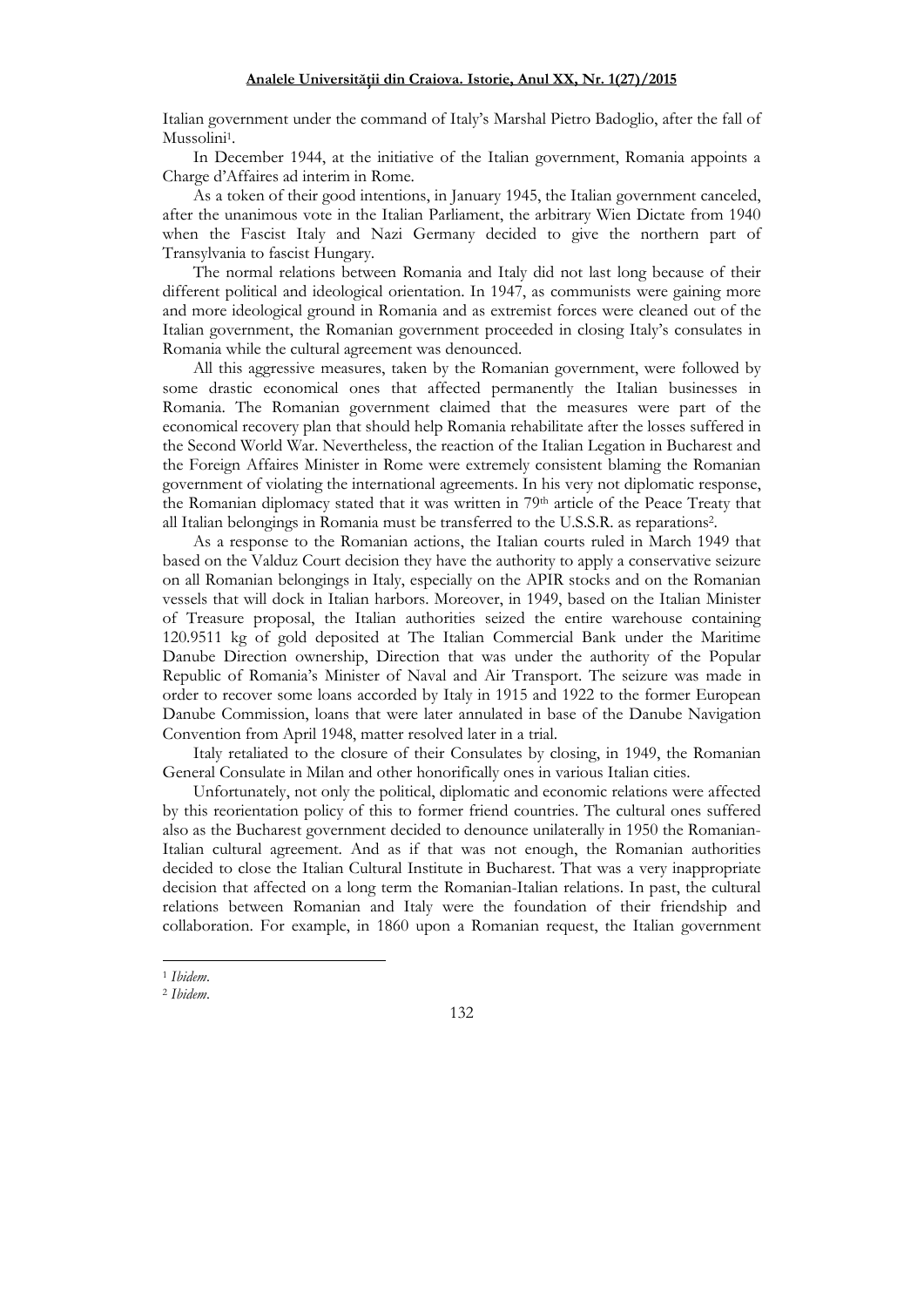Italian government under the command of Italy's Marshal Pietro Badoglio, after the fall of Mussolini<sup>1</sup>.

In December 1944, at the initiative of the Italian government, Romania appoints a Charge d'Affaires ad interim in Rome.

As a token of their good intentions, in January 1945, the Italian government canceled, after the unanimous vote in the Italian Parliament, the arbitrary Wien Dictate from 1940 when the Fascist Italy and Nazi Germany decided to give the northern part of Transylvania to fascist Hungary.

The normal relations between Romania and Italy did not last long because of their different political and ideological orientation. In 1947, as communists were gaining more and more ideological ground in Romania and as extremist forces were cleaned out of the Italian government, the Romanian government proceeded in closing Italy's consulates in Romania while the cultural agreement was denounced.

All this aggressive measures, taken by the Romanian government, were followed by some drastic economical ones that affected permanently the Italian businesses in Romania. The Romanian government claimed that the measures were part of the economical recovery plan that should help Romania rehabilitate after the losses suffered in the Second World War. Nevertheless, the reaction of the Italian Legation in Bucharest and the Foreign Affaires Minister in Rome were extremely consistent blaming the Romanian government of violating the international agreements. In his very not diplomatic response, the Romanian diplomacy stated that it was written in 79th article of the Peace Treaty that all Italian belongings in Romania must be transferred to the U.S.S.R. as reparations<sup>2</sup> .

As a response to the Romanian actions, the Italian courts ruled in March 1949 that based on the Valduz Court decision they have the authority to apply a conservative seizure on all Romanian belongings in Italy, especially on the APIR stocks and on the Romanian vessels that will dock in Italian harbors. Moreover, in 1949, based on the Italian Minister of Treasure proposal, the Italian authorities seized the entire warehouse containing 120.9511 kg of gold deposited at The Italian Commercial Bank under the Maritime Danube Direction ownership, Direction that was under the authority of the Popular Republic of Romania's Minister of Naval and Air Transport. The seizure was made in order to recover some loans accorded by Italy in 1915 and 1922 to the former European Danube Commission, loans that were later annulated in base of the Danube Navigation Convention from April 1948, matter resolved later in a trial.

Italy retaliated to the closure of their Consulates by closing, in 1949, the Romanian General Consulate in Milan and other honorifically ones in various Italian cities.

Unfortunately, not only the political, diplomatic and economic relations were affected by this reorientation policy of this to former friend countries. The cultural ones suffered also as the Bucharest government decided to denounce unilaterally in 1950 the Romanian-Italian cultural agreement. And as if that was not enough, the Romanian authorities decided to close the Italian Cultural Institute in Bucharest. That was a very inappropriate decision that affected on a long term the Romanian-Italian relations. In past, the cultural relations between Romanian and Italy were the foundation of their friendship and collaboration. For example, in 1860 upon a Romanian request, the Italian government

<sup>1</sup> 1 *Ibidem*.

<sup>2</sup> *Ibidem*.

<sup>132</sup>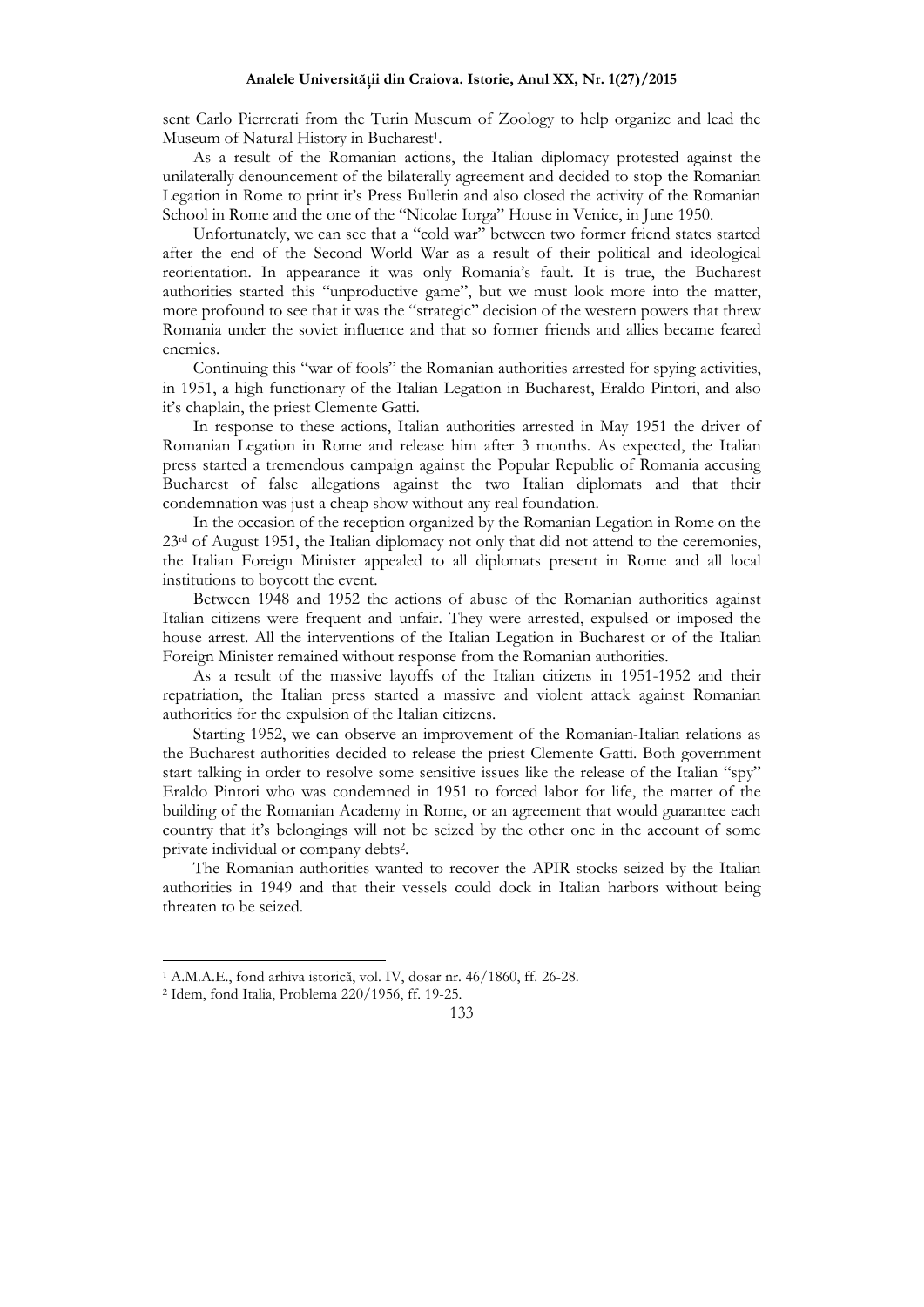sent Carlo Pierrerati from the Turin Museum of Zoology to help organize and lead the Museum of Natural History in Bucharest<sup>1</sup> .

As a result of the Romanian actions, the Italian diplomacy protested against the unilaterally denouncement of the bilaterally agreement and decided to stop the Romanian Legation in Rome to print it's Press Bulletin and also closed the activity of the Romanian School in Rome and the one of the "Nicolae Iorga" House in Venice, in June 1950.

Unfortunately, we can see that a "cold war" between two former friend states started after the end of the Second World War as a result of their political and ideological reorientation. In appearance it was only Romania's fault. It is true, the Bucharest authorities started this "unproductive game", but we must look more into the matter, more profound to see that it was the "strategic" decision of the western powers that threw Romania under the soviet influence and that so former friends and allies became feared enemies.

Continuing this "war of fools" the Romanian authorities arrested for spying activities, in 1951, a high functionary of the Italian Legation in Bucharest, Eraldo Pintori, and also it's chaplain, the priest Clemente Gatti.

In response to these actions, Italian authorities arrested in May 1951 the driver of Romanian Legation in Rome and release him after 3 months. As expected, the Italian press started a tremendous campaign against the Popular Republic of Romania accusing Bucharest of false allegations against the two Italian diplomats and that their condemnation was just a cheap show without any real foundation.

In the occasion of the reception organized by the Romanian Legation in Rome on the 23rd of August 1951, the Italian diplomacy not only that did not attend to the ceremonies, the Italian Foreign Minister appealed to all diplomats present in Rome and all local institutions to boycott the event.

Between 1948 and 1952 the actions of abuse of the Romanian authorities against Italian citizens were frequent and unfair. They were arrested, expulsed or imposed the house arrest. All the interventions of the Italian Legation in Bucharest or of the Italian Foreign Minister remained without response from the Romanian authorities.

As a result of the massive layoffs of the Italian citizens in 1951-1952 and their repatriation, the Italian press started a massive and violent attack against Romanian authorities for the expulsion of the Italian citizens.

Starting 1952, we can observe an improvement of the Romanian-Italian relations as the Bucharest authorities decided to release the priest Clemente Gatti. Both government start talking in order to resolve some sensitive issues like the release of the Italian "spy" Eraldo Pintori who was condemned in 1951 to forced labor for life, the matter of the building of the Romanian Academy in Rome, or an agreement that would guarantee each country that it's belongings will not be seized by the other one in the account of some private individual or company debts<sup>2</sup> .

The Romanian authorities wanted to recover the APIR stocks seized by the Italian authorities in 1949 and that their vessels could dock in Italian harbors without being threaten to be seized.

1

<sup>1</sup> A.M.A.E., fond arhiva istorică, vol. IV, dosar nr. 46/1860, ff. 26-28.

<sup>2</sup> Idem, fond Italia, Problema 220/1956, ff. 19-25.

<sup>133</sup>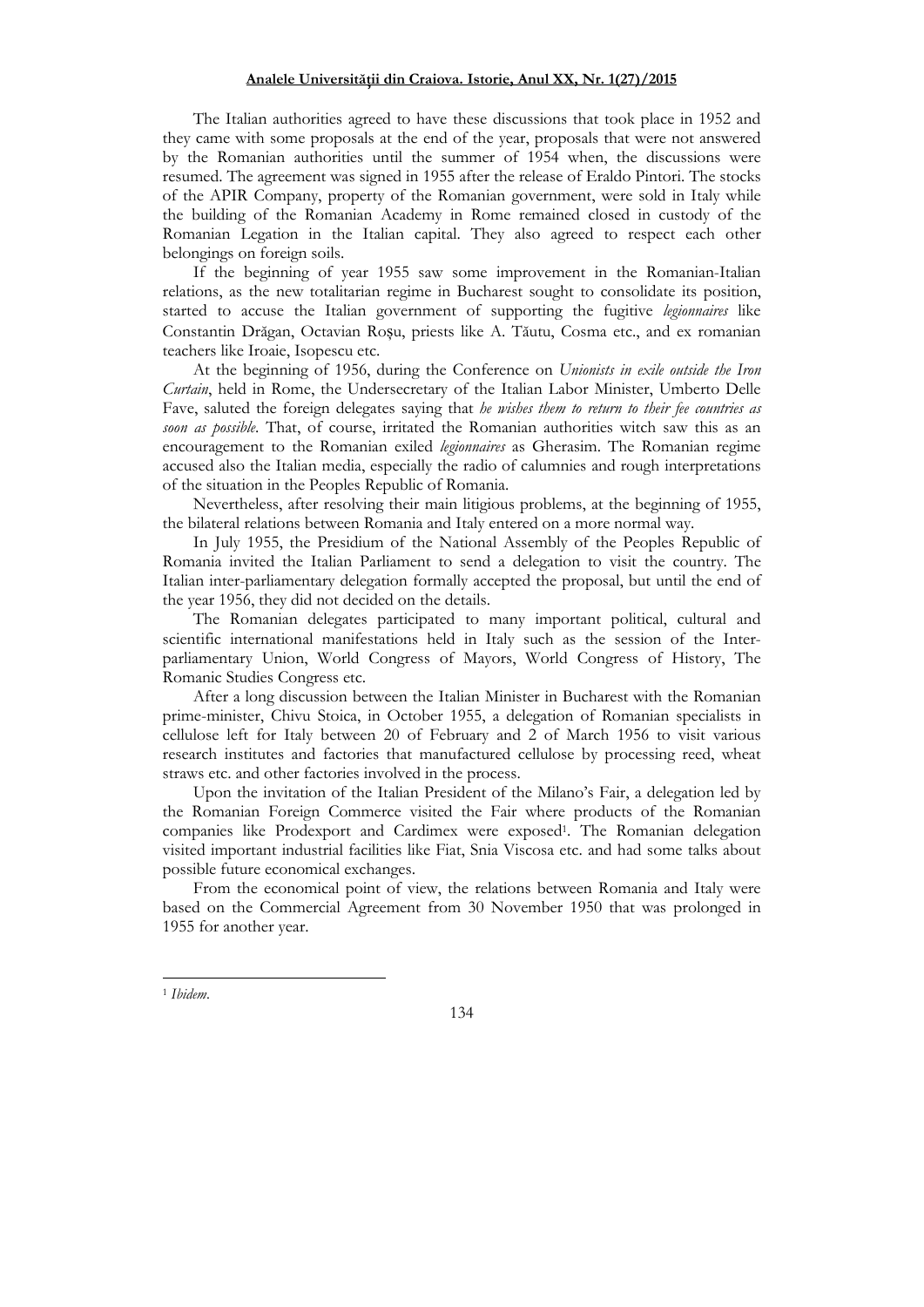## Analele Universității din Craiova. Istorie, Anul XX, Nr. 1(27)/2015

The Italian authorities agreed to have these discussions that took place in 1952 and they came with some proposals at the end of the year, proposals that were not answered by the Romanian authorities until the summer of 1954 when, the discussions were resumed. The agreement was signed in 1955 after the release of Eraldo Pintori. The stocks of the APIR Company, property of the Romanian government, were sold in Italy while the building of the Romanian Academy in Rome remained closed in custody of the Romanian Legation in the Italian capital. They also agreed to respect each other belongings on foreign soils.

If the beginning of year 1955 saw some improvement in the Romanian-Italian relations, as the new totalitarian regime in Bucharest sought to consolidate its position, started to accuse the Italian government of supporting the fugitive *legionnaires* like Constantin Drăgan, Octavian Roșu, priests like A. Tăutu, Cosma etc., and ex romanian teachers like Iroaie, Isopescu etc.

At the beginning of 1956, during the Conference on *Unionists in exile outside the Iron Curtain*, held in Rome, the Undersecretary of the Italian Labor Minister, Umberto Delle Fave, saluted the foreign delegates saying that *he wishes them to return to their fee countries as soon as possible*. That, of course, irritated the Romanian authorities witch saw this as an encouragement to the Romanian exiled *legionnaires* as Gherasim. The Romanian regime accused also the Italian media, especially the radio of calumnies and rough interpretations of the situation in the Peoples Republic of Romania.

Nevertheless, after resolving their main litigious problems, at the beginning of 1955, the bilateral relations between Romania and Italy entered on a more normal way.

In July 1955, the Presidium of the National Assembly of the Peoples Republic of Romania invited the Italian Parliament to send a delegation to visit the country. The Italian inter-parliamentary delegation formally accepted the proposal, but until the end of the year 1956, they did not decided on the details.

The Romanian delegates participated to many important political, cultural and scientific international manifestations held in Italy such as the session of the Interparliamentary Union, World Congress of Mayors, World Congress of History, The Romanic Studies Congress etc.

After a long discussion between the Italian Minister in Bucharest with the Romanian prime-minister, Chivu Stoica, in October 1955, a delegation of Romanian specialists in cellulose left for Italy between 20 of February and 2 of March 1956 to visit various research institutes and factories that manufactured cellulose by processing reed, wheat straws etc. and other factories involved in the process.

Upon the invitation of the Italian President of the Milano's Fair, a delegation led by the Romanian Foreign Commerce visited the Fair where products of the Romanian companies like Prodexport and Cardimex were exposed<sup>1</sup> . The Romanian delegation visited important industrial facilities like Fiat, Snia Viscosa etc. and had some talks about possible future economical exchanges.

From the economical point of view, the relations between Romania and Italy were based on the Commercial Agreement from 30 November 1950 that was prolonged in 1955 for another year.

 $\overline{a}$ 

134

<sup>1</sup> *Ibidem*.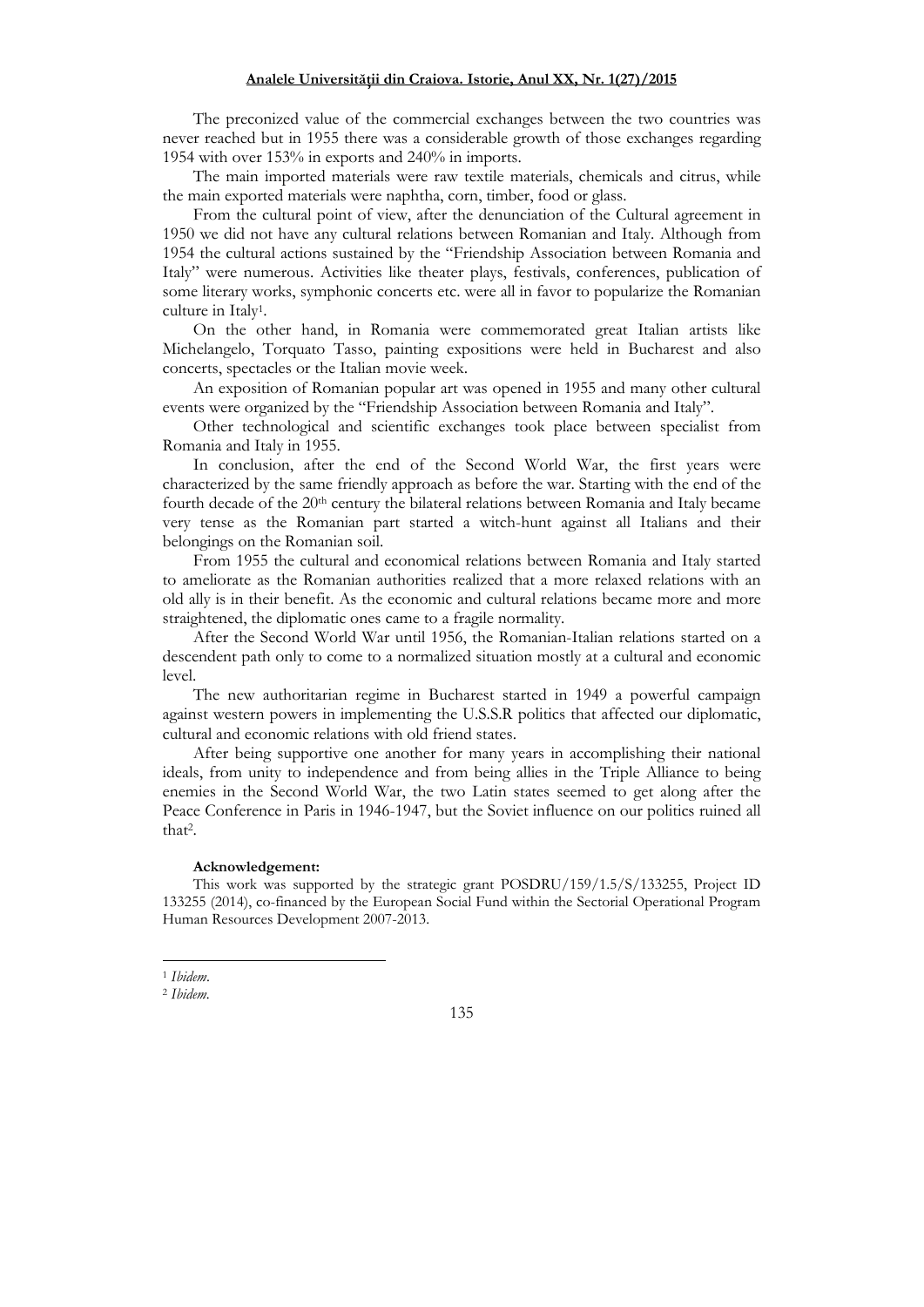The preconized value of the commercial exchanges between the two countries was never reached but in 1955 there was a considerable growth of those exchanges regarding 1954 with over 153% in exports and 240% in imports.

The main imported materials were raw textile materials, chemicals and citrus, while the main exported materials were naphtha, corn, timber, food or glass.

From the cultural point of view, after the denunciation of the Cultural agreement in 1950 we did not have any cultural relations between Romanian and Italy. Although from 1954 the cultural actions sustained by the "Friendship Association between Romania and Italy" were numerous. Activities like theater plays, festivals, conferences, publication of some literary works, symphonic concerts etc. were all in favor to popularize the Romanian culture in Italy<sup>1</sup> .

On the other hand, in Romania were commemorated great Italian artists like Michelangelo, Torquato Tasso, painting expositions were held in Bucharest and also concerts, spectacles or the Italian movie week.

An exposition of Romanian popular art was opened in 1955 and many other cultural events were organized by the "Friendship Association between Romania and Italy".

Other technological and scientific exchanges took place between specialist from Romania and Italy in 1955.

In conclusion, after the end of the Second World War, the first years were characterized by the same friendly approach as before the war. Starting with the end of the fourth decade of the 20<sup>th</sup> century the bilateral relations between Romania and Italy became very tense as the Romanian part started a witch-hunt against all Italians and their belongings on the Romanian soil.

From 1955 the cultural and economical relations between Romania and Italy started to ameliorate as the Romanian authorities realized that a more relaxed relations with an old ally is in their benefit. As the economic and cultural relations became more and more straightened, the diplomatic ones came to a fragile normality.

After the Second World War until 1956, the Romanian-Italian relations started on a descendent path only to come to a normalized situation mostly at a cultural and economic level.

The new authoritarian regime in Bucharest started in 1949 a powerful campaign against western powers in implementing the U.S.S.R politics that affected our diplomatic, cultural and economic relations with old friend states.

After being supportive one another for many years in accomplishing their national ideals, from unity to independence and from being allies in the Triple Alliance to being enemies in the Second World War, the two Latin states seemed to get along after the Peace Conference in Paris in 1946-1947, but the Soviet influence on our politics ruined all that<sup>2</sup> .

### **Acknowledgement:**

This work was supported by the strategic grant POSDRU/159/1.5/S/133255, Project ID 133255 (2014), co-financed by the European Social Fund within the Sectorial Operational Program Human Resources Development 2007-2013.

<sup>1</sup> 1 *Ibidem*.

<sup>2</sup> *Ibidem.* 

<sup>135</sup>